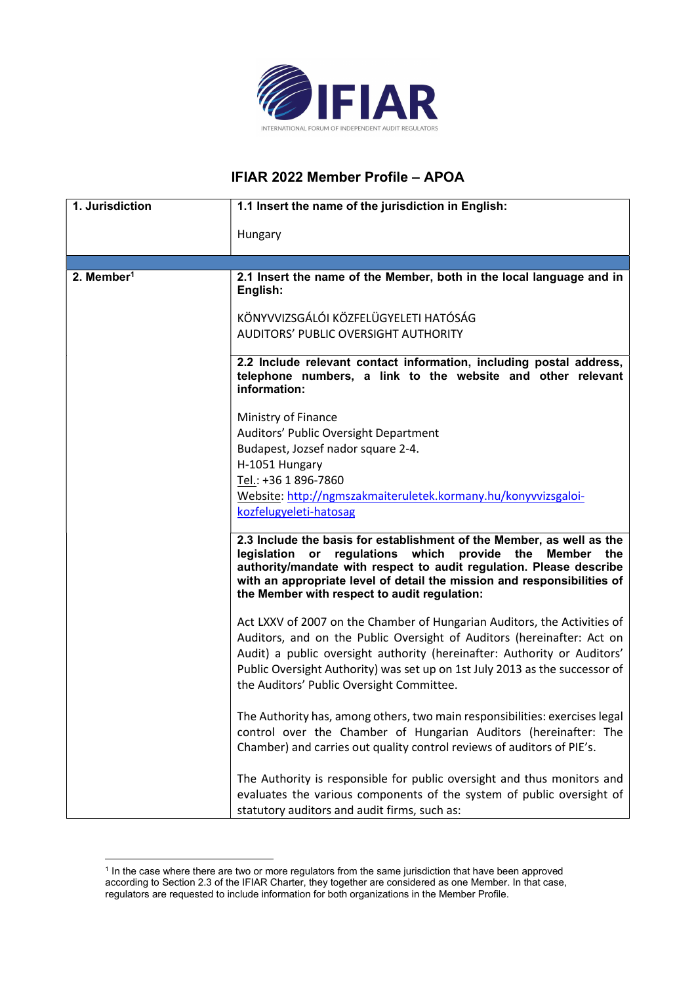

## IFIAR 2022 Member Profile – APOA

| 1. Jurisdiction        | 1.1 Insert the name of the jurisdiction in English:                                                                                                                                                                                                                                                                                                        |
|------------------------|------------------------------------------------------------------------------------------------------------------------------------------------------------------------------------------------------------------------------------------------------------------------------------------------------------------------------------------------------------|
|                        | Hungary                                                                                                                                                                                                                                                                                                                                                    |
|                        |                                                                                                                                                                                                                                                                                                                                                            |
|                        |                                                                                                                                                                                                                                                                                                                                                            |
| 2. Member <sup>1</sup> | 2.1 Insert the name of the Member, both in the local language and in<br>English:                                                                                                                                                                                                                                                                           |
|                        | KÖNYVVIZSGÁLÓI KÖZFELÜGYELETI HATÓSÁG<br>AUDITORS' PUBLIC OVERSIGHT AUTHORITY                                                                                                                                                                                                                                                                              |
|                        |                                                                                                                                                                                                                                                                                                                                                            |
|                        | 2.2 Include relevant contact information, including postal address,<br>telephone numbers, a link to the website and other relevant<br>information:                                                                                                                                                                                                         |
|                        | Ministry of Finance                                                                                                                                                                                                                                                                                                                                        |
|                        | Auditors' Public Oversight Department                                                                                                                                                                                                                                                                                                                      |
|                        | Budapest, Jozsef nador square 2-4.                                                                                                                                                                                                                                                                                                                         |
|                        | H-1051 Hungary<br>Tel.: +36 1 896-7860                                                                                                                                                                                                                                                                                                                     |
|                        | Website: http://ngmszakmaiteruletek.kormany.hu/konyvvizsgaloi-                                                                                                                                                                                                                                                                                             |
|                        | kozfelugyeleti-hatosag                                                                                                                                                                                                                                                                                                                                     |
|                        | 2.3 Include the basis for establishment of the Member, as well as the<br>regulations which<br>provide the Member<br>legislation or<br>the<br>authority/mandate with respect to audit regulation. Please describe<br>with an appropriate level of detail the mission and responsibilities of<br>the Member with respect to audit regulation:                |
|                        | Act LXXV of 2007 on the Chamber of Hungarian Auditors, the Activities of<br>Auditors, and on the Public Oversight of Auditors (hereinafter: Act on<br>Audit) a public oversight authority (hereinafter: Authority or Auditors'<br>Public Oversight Authority) was set up on 1st July 2013 as the successor of<br>the Auditors' Public Oversight Committee. |
|                        | The Authority has, among others, two main responsibilities: exercises legal<br>control over the Chamber of Hungarian Auditors (hereinafter: The<br>Chamber) and carries out quality control reviews of auditors of PIE's.                                                                                                                                  |
|                        | The Authority is responsible for public oversight and thus monitors and<br>evaluates the various components of the system of public oversight of<br>statutory auditors and audit firms, such as:                                                                                                                                                           |

<sup>&</sup>lt;sup>1</sup> In the case where there are two or more regulators from the same jurisdiction that have been approved according to Section 2.3 of the IFIAR Charter, they together are considered as one Member. In that case, regulators are requested to include information for both organizations in the Member Profile.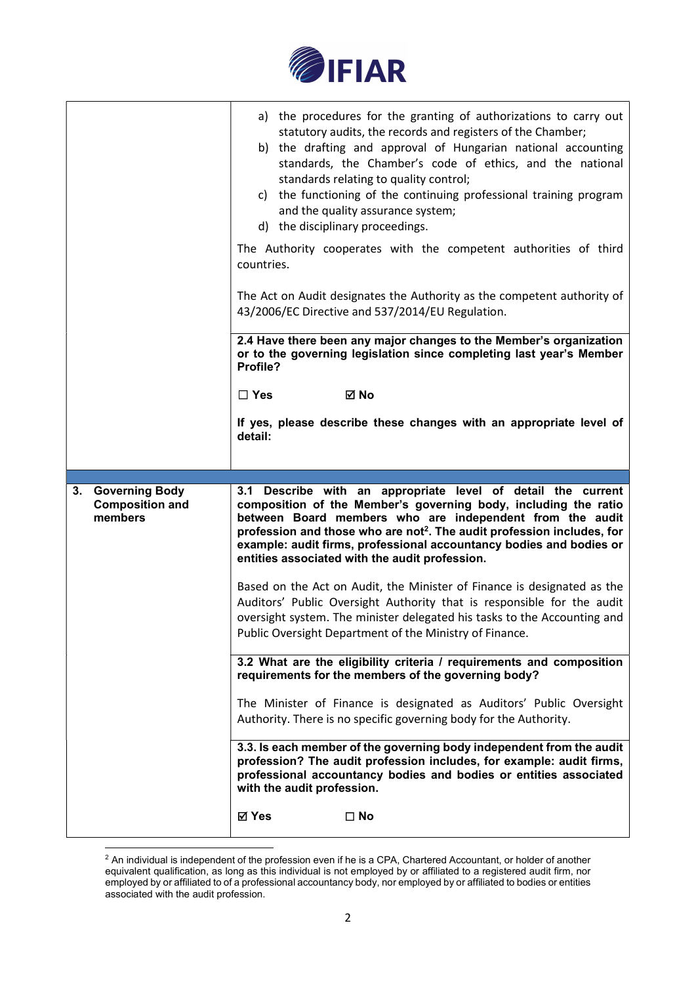

|                                                                  | a) the procedures for the granting of authorizations to carry out<br>statutory audits, the records and registers of the Chamber;<br>b) the drafting and approval of Hungarian national accounting<br>standards, the Chamber's code of ethics, and the national<br>standards relating to quality control;<br>c) the functioning of the continuing professional training program<br>and the quality assurance system;<br>d) the disciplinary proceedings. |
|------------------------------------------------------------------|---------------------------------------------------------------------------------------------------------------------------------------------------------------------------------------------------------------------------------------------------------------------------------------------------------------------------------------------------------------------------------------------------------------------------------------------------------|
|                                                                  | The Authority cooperates with the competent authorities of third<br>countries.                                                                                                                                                                                                                                                                                                                                                                          |
|                                                                  | The Act on Audit designates the Authority as the competent authority of<br>43/2006/EC Directive and 537/2014/EU Regulation.                                                                                                                                                                                                                                                                                                                             |
|                                                                  | 2.4 Have there been any major changes to the Member's organization<br>or to the governing legislation since completing last year's Member<br>Profile?                                                                                                                                                                                                                                                                                                   |
|                                                                  | ⊠ No<br>$\Box$ Yes                                                                                                                                                                                                                                                                                                                                                                                                                                      |
|                                                                  | If yes, please describe these changes with an appropriate level of<br>detail:                                                                                                                                                                                                                                                                                                                                                                           |
|                                                                  |                                                                                                                                                                                                                                                                                                                                                                                                                                                         |
|                                                                  |                                                                                                                                                                                                                                                                                                                                                                                                                                                         |
| <b>Governing Body</b><br>3.<br><b>Composition and</b><br>members | 3.1 Describe with an appropriate level of detail the current<br>composition of the Member's governing body, including the ratio<br>between Board members who are independent from the audit<br>profession and those who are not <sup>2</sup> . The audit profession includes, for<br>example: audit firms, professional accountancy bodies and bodies or<br>entities associated with the audit profession.                                              |
|                                                                  | Based on the Act on Audit, the Minister of Finance is designated as the<br>Auditors' Public Oversight Authority that is responsible for the audit<br>oversight system. The minister delegated his tasks to the Accounting and<br>Public Oversight Department of the Ministry of Finance.                                                                                                                                                                |
|                                                                  | 3.2 What are the eligibility criteria / requirements and composition<br>requirements for the members of the governing body?                                                                                                                                                                                                                                                                                                                             |
|                                                                  | The Minister of Finance is designated as Auditors' Public Oversight<br>Authority. There is no specific governing body for the Authority.                                                                                                                                                                                                                                                                                                                |
|                                                                  | 3.3. Is each member of the governing body independent from the audit<br>profession? The audit profession includes, for example: audit firms,<br>professional accountancy bodies and bodies or entities associated<br>with the audit profession.                                                                                                                                                                                                         |

 $^2$  An individual is independent of the profession even if he is a CPA, Chartered Accountant, or holder of another equivalent qualification, as long as this individual is not employed by or affiliated to a registered audit firm, nor employed by or affiliated to of a professional accountancy body, nor employed by or affiliated to bodies or entities associated with the audit profession.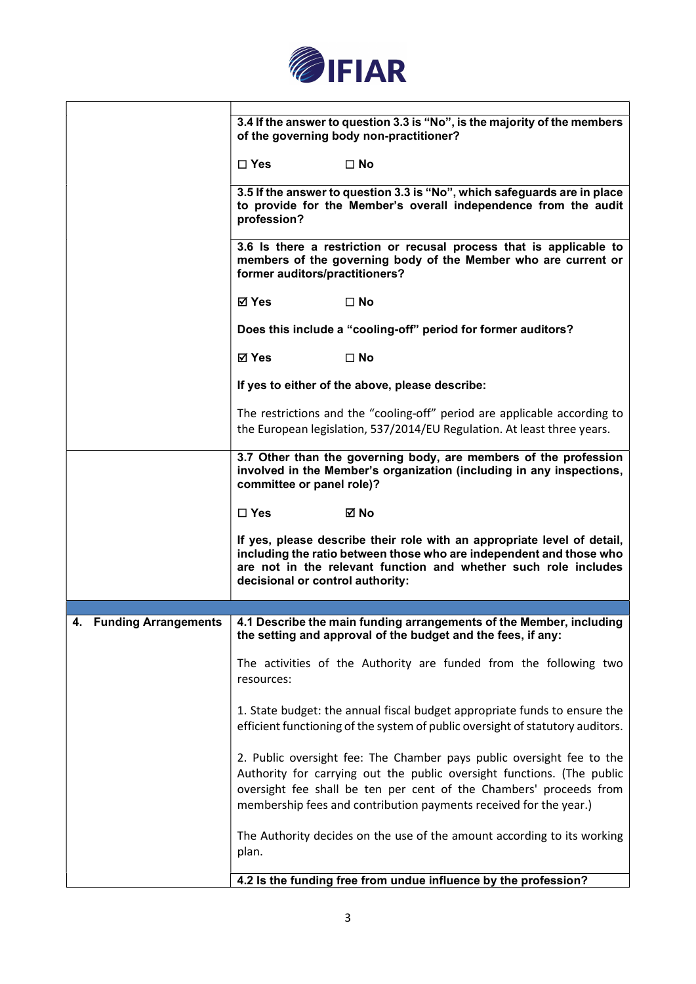

|                                   | 3.4 If the answer to question 3.3 is "No", is the majority of the members<br>of the governing body non-practitioner?                                                                                                                                                                       |
|-----------------------------------|--------------------------------------------------------------------------------------------------------------------------------------------------------------------------------------------------------------------------------------------------------------------------------------------|
|                                   | $\square$ Yes<br>$\square$ No                                                                                                                                                                                                                                                              |
|                                   | 3.5 If the answer to question 3.3 is "No", which safeguards are in place<br>to provide for the Member's overall independence from the audit<br>profession?                                                                                                                                 |
|                                   | 3.6 Is there a restriction or recusal process that is applicable to<br>members of the governing body of the Member who are current or<br>former auditors/practitioners?                                                                                                                    |
|                                   | <b>⊠</b> Yes<br>$\square$ No                                                                                                                                                                                                                                                               |
|                                   | Does this include a "cooling-off" period for former auditors?                                                                                                                                                                                                                              |
|                                   | ⊠ Yes<br>$\square$ No                                                                                                                                                                                                                                                                      |
|                                   | If yes to either of the above, please describe:                                                                                                                                                                                                                                            |
|                                   | The restrictions and the "cooling-off" period are applicable according to<br>the European legislation, 537/2014/EU Regulation. At least three years.                                                                                                                                       |
|                                   | 3.7 Other than the governing body, are members of the profession<br>involved in the Member's organization (including in any inspections,<br>committee or panel role)?                                                                                                                      |
|                                   | ⊠ No<br>$\Box$ Yes                                                                                                                                                                                                                                                                         |
|                                   | If yes, please describe their role with an appropriate level of detail,<br>including the ratio between those who are independent and those who<br>are not in the relevant function and whether such role includes<br>decisional or control authority:                                      |
|                                   |                                                                                                                                                                                                                                                                                            |
| 4.<br><b>Funding Arrangements</b> | 4.1 Describe the main funding arrangements of the Member, including<br>the setting and approval of the budget and the fees, if any:                                                                                                                                                        |
|                                   | The activities of the Authority are funded from the following two<br>resources:                                                                                                                                                                                                            |
|                                   | 1. State budget: the annual fiscal budget appropriate funds to ensure the<br>efficient functioning of the system of public oversight of statutory auditors.                                                                                                                                |
|                                   | 2. Public oversight fee: The Chamber pays public oversight fee to the<br>Authority for carrying out the public oversight functions. (The public<br>oversight fee shall be ten per cent of the Chambers' proceeds from<br>membership fees and contribution payments received for the year.) |
|                                   | The Authority decides on the use of the amount according to its working<br>plan.                                                                                                                                                                                                           |
|                                   | 4.2 Is the funding free from undue influence by the profession?                                                                                                                                                                                                                            |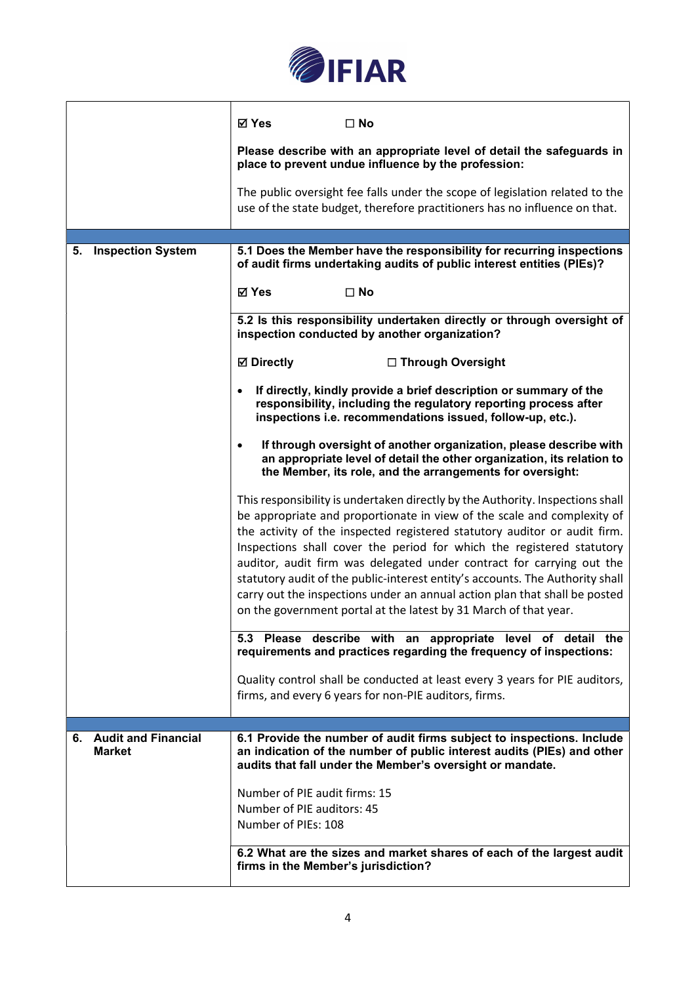

|                                         | ⊠ Yes<br>$\Box$ No                                                                                                                                                                                                                                                                                                                                                                                                                                                                                                                                                                                                          |
|-----------------------------------------|-----------------------------------------------------------------------------------------------------------------------------------------------------------------------------------------------------------------------------------------------------------------------------------------------------------------------------------------------------------------------------------------------------------------------------------------------------------------------------------------------------------------------------------------------------------------------------------------------------------------------------|
|                                         | Please describe with an appropriate level of detail the safeguards in<br>place to prevent undue influence by the profession:                                                                                                                                                                                                                                                                                                                                                                                                                                                                                                |
|                                         | The public oversight fee falls under the scope of legislation related to the<br>use of the state budget, therefore practitioners has no influence on that.                                                                                                                                                                                                                                                                                                                                                                                                                                                                  |
|                                         |                                                                                                                                                                                                                                                                                                                                                                                                                                                                                                                                                                                                                             |
| 5. Inspection System                    | 5.1 Does the Member have the responsibility for recurring inspections<br>of audit firms undertaking audits of public interest entities (PIEs)?                                                                                                                                                                                                                                                                                                                                                                                                                                                                              |
|                                         | <b>⊠ Yes</b><br>$\square$ No                                                                                                                                                                                                                                                                                                                                                                                                                                                                                                                                                                                                |
|                                         | 5.2 Is this responsibility undertaken directly or through oversight of<br>inspection conducted by another organization?                                                                                                                                                                                                                                                                                                                                                                                                                                                                                                     |
|                                         | <b>⊠</b> Directly<br>□ Through Oversight                                                                                                                                                                                                                                                                                                                                                                                                                                                                                                                                                                                    |
|                                         | If directly, kindly provide a brief description or summary of the<br>responsibility, including the regulatory reporting process after<br>inspections i.e. recommendations issued, follow-up, etc.).                                                                                                                                                                                                                                                                                                                                                                                                                         |
|                                         | If through oversight of another organization, please describe with<br>$\bullet$<br>an appropriate level of detail the other organization, its relation to<br>the Member, its role, and the arrangements for oversight:                                                                                                                                                                                                                                                                                                                                                                                                      |
|                                         | This responsibility is undertaken directly by the Authority. Inspections shall<br>be appropriate and proportionate in view of the scale and complexity of<br>the activity of the inspected registered statutory auditor or audit firm.<br>Inspections shall cover the period for which the registered statutory<br>auditor, audit firm was delegated under contract for carrying out the<br>statutory audit of the public-interest entity's accounts. The Authority shall<br>carry out the inspections under an annual action plan that shall be posted<br>on the government portal at the latest by 31 March of that year. |
|                                         | 5.3 Please describe with an appropriate level of detail the<br>requirements and practices regarding the frequency of inspections:                                                                                                                                                                                                                                                                                                                                                                                                                                                                                           |
|                                         | Quality control shall be conducted at least every 3 years for PIE auditors,<br>firms, and every 6 years for non-PIE auditors, firms.                                                                                                                                                                                                                                                                                                                                                                                                                                                                                        |
|                                         |                                                                                                                                                                                                                                                                                                                                                                                                                                                                                                                                                                                                                             |
| 6. Audit and Financial<br><b>Market</b> | 6.1 Provide the number of audit firms subject to inspections. Include<br>an indication of the number of public interest audits (PIEs) and other<br>audits that fall under the Member's oversight or mandate.                                                                                                                                                                                                                                                                                                                                                                                                                |
|                                         | Number of PIE audit firms: 15<br>Number of PIE auditors: 45<br>Number of PIEs: 108                                                                                                                                                                                                                                                                                                                                                                                                                                                                                                                                          |
|                                         | 6.2 What are the sizes and market shares of each of the largest audit<br>firms in the Member's jurisdiction?                                                                                                                                                                                                                                                                                                                                                                                                                                                                                                                |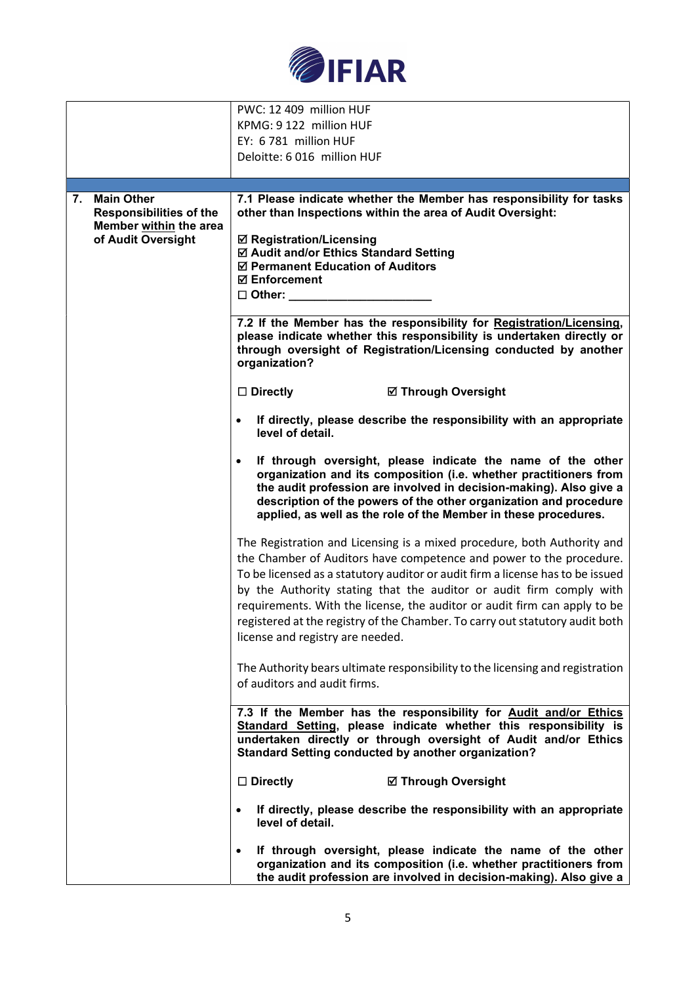

|                                                                                                           | PWC: 12 409 million HUF<br>KPMG: 9 122 million HUF<br>EY: 6 781 million HUF                                                                                                                                                                                                                                                                                                                                                                                                                              |
|-----------------------------------------------------------------------------------------------------------|----------------------------------------------------------------------------------------------------------------------------------------------------------------------------------------------------------------------------------------------------------------------------------------------------------------------------------------------------------------------------------------------------------------------------------------------------------------------------------------------------------|
|                                                                                                           | Deloitte: 6 016 million HUF                                                                                                                                                                                                                                                                                                                                                                                                                                                                              |
|                                                                                                           |                                                                                                                                                                                                                                                                                                                                                                                                                                                                                                          |
| <b>Main Other</b><br>7.<br><b>Responsibilities of the</b><br>Member within the area<br>of Audit Oversight | 7.1 Please indicate whether the Member has responsibility for tasks<br>other than Inspections within the area of Audit Oversight:<br><b>Ø Registration/Licensing</b><br>☑ Audit and/or Ethics Standard Setting<br>☑ Permanent Education of Auditors<br><b>☑ Enforcement</b>                                                                                                                                                                                                                              |
|                                                                                                           | $\Box$ Other:                                                                                                                                                                                                                                                                                                                                                                                                                                                                                            |
|                                                                                                           | 7.2 If the Member has the responsibility for Registration/Licensing,<br>please indicate whether this responsibility is undertaken directly or<br>through oversight of Registration/Licensing conducted by another<br>organization?                                                                                                                                                                                                                                                                       |
|                                                                                                           | $\Box$ Directly<br><b>Ø Through Oversight</b>                                                                                                                                                                                                                                                                                                                                                                                                                                                            |
|                                                                                                           | If directly, please describe the responsibility with an appropriate<br>level of detail.                                                                                                                                                                                                                                                                                                                                                                                                                  |
|                                                                                                           | If through oversight, please indicate the name of the other<br>$\bullet$<br>organization and its composition (i.e. whether practitioners from<br>the audit profession are involved in decision-making). Also give a<br>description of the powers of the other organization and procedure<br>applied, as well as the role of the Member in these procedures.                                                                                                                                              |
|                                                                                                           | The Registration and Licensing is a mixed procedure, both Authority and<br>the Chamber of Auditors have competence and power to the procedure.<br>To be licensed as a statutory auditor or audit firm a license has to be issued<br>by the Authority stating that the auditor or audit firm comply with<br>requirements. With the license, the auditor or audit firm can apply to be<br>registered at the registry of the Chamber. To carry out statutory audit both<br>license and registry are needed. |
|                                                                                                           | The Authority bears ultimate responsibility to the licensing and registration<br>of auditors and audit firms.                                                                                                                                                                                                                                                                                                                                                                                            |
|                                                                                                           | 7.3 If the Member has the responsibility for Audit and/or Ethics<br>Standard Setting, please indicate whether this responsibility is<br>undertaken directly or through oversight of Audit and/or Ethics<br><b>Standard Setting conducted by another organization?</b>                                                                                                                                                                                                                                    |
|                                                                                                           | $\Box$ Directly<br><b>Ø Through Oversight</b>                                                                                                                                                                                                                                                                                                                                                                                                                                                            |
|                                                                                                           | If directly, please describe the responsibility with an appropriate<br>level of detail.                                                                                                                                                                                                                                                                                                                                                                                                                  |
|                                                                                                           | If through oversight, please indicate the name of the other<br>$\bullet$<br>organization and its composition (i.e. whether practitioners from<br>the audit profession are involved in decision-making). Also give a                                                                                                                                                                                                                                                                                      |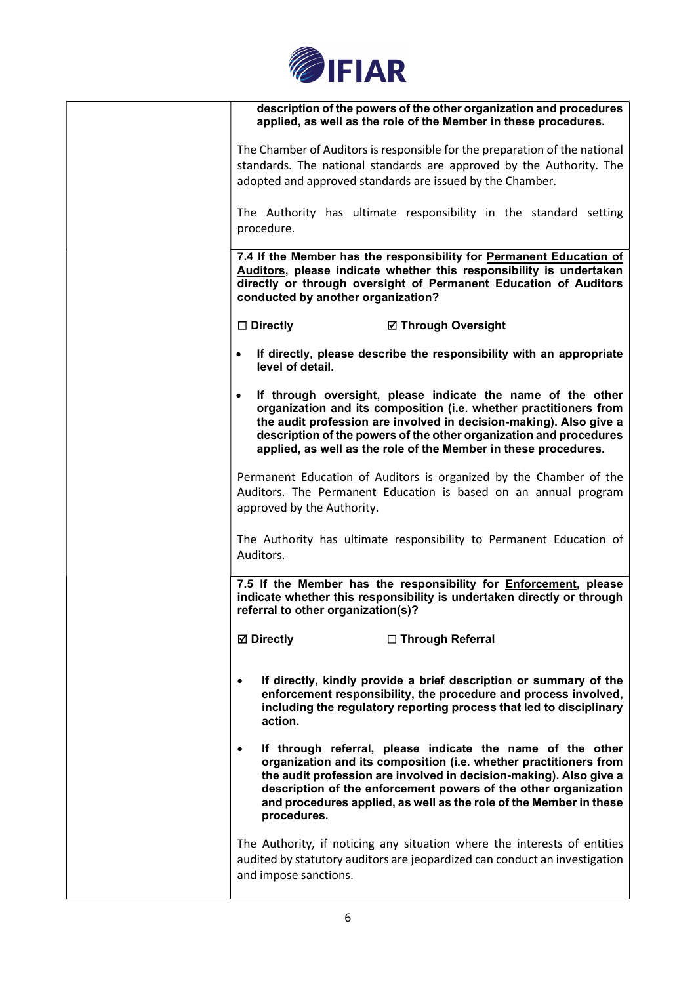

| description of the powers of the other organization and procedures<br>applied, as well as the role of the Member in these procedures.                                                                                                                                                                                                                                      |
|----------------------------------------------------------------------------------------------------------------------------------------------------------------------------------------------------------------------------------------------------------------------------------------------------------------------------------------------------------------------------|
| The Chamber of Auditors is responsible for the preparation of the national                                                                                                                                                                                                                                                                                                 |
| standards. The national standards are approved by the Authority. The                                                                                                                                                                                                                                                                                                       |
| adopted and approved standards are issued by the Chamber.                                                                                                                                                                                                                                                                                                                  |
| The Authority has ultimate responsibility in the standard setting                                                                                                                                                                                                                                                                                                          |
| procedure.                                                                                                                                                                                                                                                                                                                                                                 |
| 7.4 If the Member has the responsibility for Permanent Education of                                                                                                                                                                                                                                                                                                        |
| Auditors, please indicate whether this responsibility is undertaken<br>directly or through oversight of Permanent Education of Auditors<br>conducted by another organization?                                                                                                                                                                                              |
| $\Box$ Directly<br><b>Ø Through Oversight</b>                                                                                                                                                                                                                                                                                                                              |
| If directly, please describe the responsibility with an appropriate<br>level of detail.                                                                                                                                                                                                                                                                                    |
| If through oversight, please indicate the name of the other<br>$\bullet$<br>organization and its composition (i.e. whether practitioners from<br>the audit profession are involved in decision-making). Also give a<br>description of the powers of the other organization and procedures<br>applied, as well as the role of the Member in these procedures.               |
| Permanent Education of Auditors is organized by the Chamber of the                                                                                                                                                                                                                                                                                                         |
| Auditors. The Permanent Education is based on an annual program                                                                                                                                                                                                                                                                                                            |
| approved by the Authority.                                                                                                                                                                                                                                                                                                                                                 |
|                                                                                                                                                                                                                                                                                                                                                                            |
| The Authority has ultimate responsibility to Permanent Education of<br>Auditors.                                                                                                                                                                                                                                                                                           |
| 7.5 If the Member has the responsibility for <b>Enforcement</b> , please<br>indicate whether this responsibility is undertaken directly or through<br>referral to other organization(s)?                                                                                                                                                                                   |
| <b>Ø</b> Directly<br>□ Through Referral                                                                                                                                                                                                                                                                                                                                    |
| If directly, kindly provide a brief description or summary of the<br>$\bullet$<br>enforcement responsibility, the procedure and process involved,<br>including the regulatory reporting process that led to disciplinary<br>action.                                                                                                                                        |
| If through referral, please indicate the name of the other<br>$\bullet$<br>organization and its composition (i.e. whether practitioners from<br>the audit profession are involved in decision-making). Also give a<br>description of the enforcement powers of the other organization<br>and procedures applied, as well as the role of the Member in these<br>procedures. |
| The Authority, if noticing any situation where the interests of entities<br>audited by statutory auditors are jeopardized can conduct an investigation<br>and impose sanctions.                                                                                                                                                                                            |